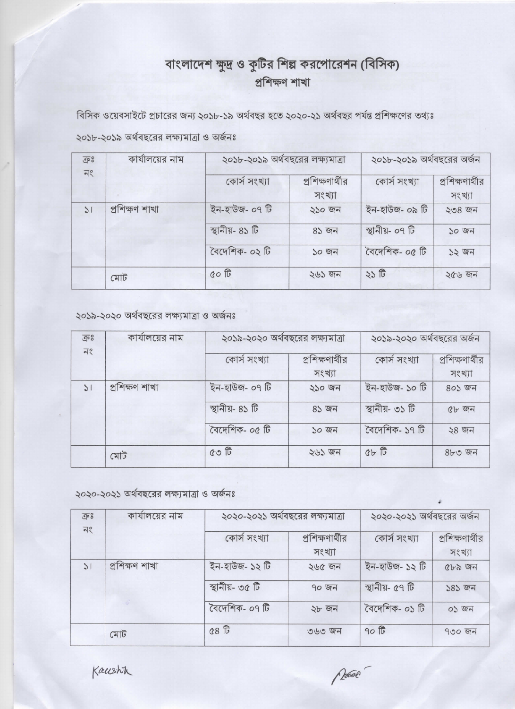## বাংলাদেশ ক্ষুদ্র ও কুটির শিল্প করপোরেশন (বিসিক) প্ৰশিক্ষণ শাখা

বিসিক ওয়েবসাইটে প্রচারের জন্য ২০১৮-১৯ অর্থবছর হতে ২০২০-২১ অর্থবছর পর্যন্ত প্রশিক্ষণের তথ্যঃ

২০১৮-২০১৯ অর্থবছরের লক্ষ্যমাত্রা ও অর্জনঃ

| $\overline{\mathbb{CP}}$ $8$ | কার্যালয়ের নাম | ২০১৮-২০১৯ অর্থবছরের লক্ষ্যমাত্রা |                           | ২০১৮-২০১৯ অর্থবছরের অর্জন |                           |
|------------------------------|-----------------|----------------------------------|---------------------------|---------------------------|---------------------------|
| $\exists$                    |                 | কোর্স সংখ্যা                     | প্রশিক্ষণার্থীর<br>সংখ্যা | কোর্স সংখ্যা              | প্রশিক্ষণার্থীর<br>সংখ্যা |
| $\geq$                       | প্ৰশিক্ষণ শাখা  | ইন-হাউজ- ০৭ টি                   | ২১০ জন                    | ইন-হাউজ- ০৯ টি            | $208$ জন                  |
|                              |                 | স্থানীয়- ৪১ টি                  | ৪১ জন                     | স্থানীয়- ০৭ টি           | $50$ জন                   |
|                              |                 | বৈদেশিক- ০২ টি                   | ১০ জন                     | বৈদেশিক- ০৫ টি            | $52$ $97$                 |
|                              | মোট             | 000                              | २७३ जन                    | ২১ টি                     | 20659                     |

২০১৯-২০২০ অর্থবছরের লক্ষ্যমাত্রা ও অর্জনঃ

| $\overline{\mathbb{G}}$ o              | কার্যালয়ের নাম | ২০১৯-২০২০ অর্থবছরের লক্ষ্যমাত্রা |                 | ২০১৯-২০২০ অর্থবছরের অর্জন |                 |
|----------------------------------------|-----------------|----------------------------------|-----------------|---------------------------|-----------------|
| $\overline{\Lambda}{}_{\circ}^{\circ}$ |                 | কোর্স সংখ্যা                     | প্রশিক্ষণার্থীর | কোর্স সংখ্যা              | প্রশিক্ষণার্থীর |
|                                        |                 |                                  | সংখ্যা          |                           | সংখ্যা          |
| $\mathcal{L}$                          | প্ৰশিক্ষণ শাখা  | ইন-হাউজ- ০৭ টি                   | ২১০ জন          | ইন-হাউজ- ১০ টি            | 805 জন          |
|                                        |                 | স্থানীয়- ৪১ টি                  | ৪১ জন           | স্থানীয়- ৩১ টি           | 45.97           |
|                                        |                 | বৈদেশিক- ০৫ টি                   | ১০ জন           | বৈদেশিক- ১৭ টি            | $28$ জন         |
|                                        | মোট             | $Q$ $\circ$ $\mathbb{G}$         | ২৬১ জন          | 86E                       | $8b0$ জন        |

২০২০-২০২১ অর্থবছরের লক্ষ্যমাত্রা ও অর্জনঃ

| $\overline{\mathbb{CP}}$ $8$          | কার্যালয়ের নাম | ২০২০-২০২১ অর্থবছরের লক্ষ্যমাত্রা |                           | ২০২০-২০২১ অর্থবছরের অর্জন |                           |
|---------------------------------------|-----------------|----------------------------------|---------------------------|---------------------------|---------------------------|
| $\overline{\Lambda}{}_{\sim}^{\circ}$ |                 | কোর্স সংখ্যা                     | প্রশিক্ষণার্থীর<br>সংখ্যা | কোর্স সংখ্যা              | প্রশিক্ষণার্থীর<br>সংখ্যা |
| $\mathcal{L}$                         | প্ৰশিক্ষণ শাখা  | ইন-হাউজ- ১২ টি                   | ২৬৫ জন                    | ইন-হাউজ- ১২ টি            | CDD G                     |
|                                       |                 | স্থানীয়- ৩৫ টি                  | 90.97                     | স্থানীয়- ৫৭ টি           | $585$ জন                  |
|                                       |                 | বৈদেশিক- ০৭ টি                   | ২৮ জন                     | বৈদেশিক- ০১ টি            | 05 50                     |
|                                       | মোট             | C8                               | ৩৬৩ জন                    | 90E                       | $900$ $97$                |

Kausht

Rosse